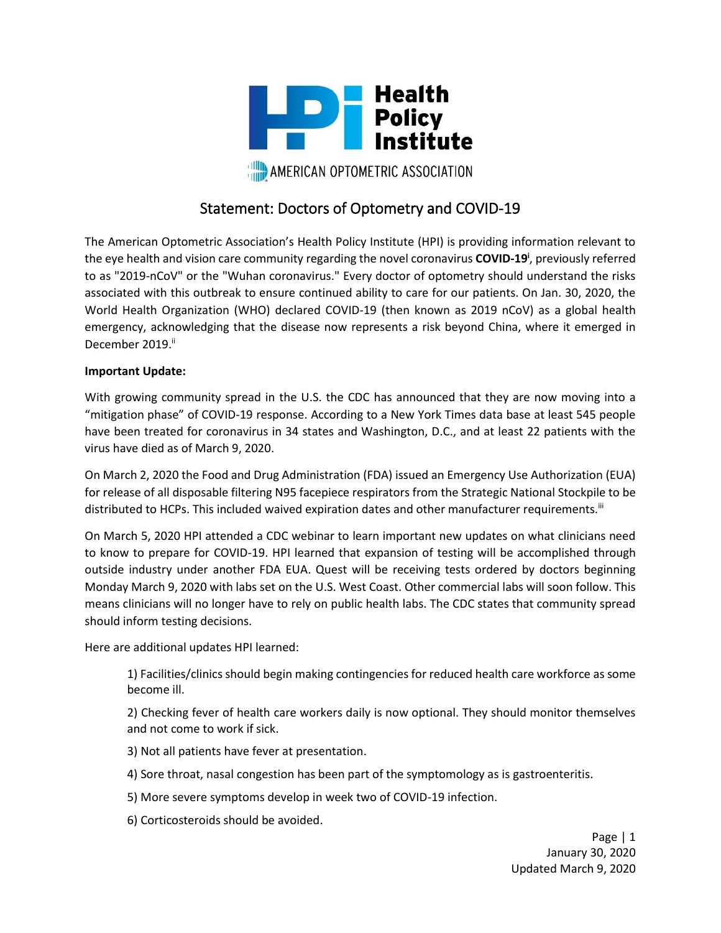

# Statement: Doctors of Optometry and COVID-19

The American Optometric Association's Health Policy Institute (HPI) is providing information relevant to the eye health and vision care community regarding the novel coronavirus **COVID-19<sup>i</sup>** , previously referred to as "2019-nCoV" or the "Wuhan coronavirus." Every doctor of optometry should understand the risks associated with this outbreak to ensure continued ability to care for our patients. On Jan. 30, 2020, the World Health Organization (WHO) declared COVID-19 (then known as 2019 nCoV) as a global health emergency, acknowledging that the disease now represents a risk beyond China, where it emerged in December 2019.<sup>ii</sup>

### **Important Update:**

With growing community spread in the U.S. the CDC has announced that they are now moving into a "mitigation phase" of COVID-19 response. According to a New York Times data base at least 545 people have been treated for coronavirus in 34 states and Washington, D.C., and at least 22 patients with the virus have died as of March 9, 2020.

On March 2, 2020 the Food and Drug Administration (FDA) issued an Emergency Use Authorization (EUA) for release of all disposable filtering N95 facepiece respirators from the Strategic National Stockpile to be distributed to HCPs. This included waived expiration dates and other manufacturer requirements.<sup>iii</sup>

On March 5, 2020 HPI attended a CDC webinar to learn important new updates on what clinicians need to know to prepare for COVID-19. HPI learned that expansion of testing will be accomplished through outside industry under another FDA EUA. Quest will be receiving tests ordered by doctors beginning Monday March 9, 2020 with labs set on the U.S. West Coast. Other commercial labs will soon follow. This means clinicians will no longer have to rely on public health labs. The CDC states that community spread should inform testing decisions.

Here are additional updates HPI learned:

1) Facilities/clinics should begin making contingencies for reduced health care workforce as some become ill.

2) Checking fever of health care workers daily is now optional. They should monitor themselves and not come to work if sick.

3) Not all patients have fever at presentation.

- 4) Sore throat, nasal congestion has been part of the symptomology as is gastroenteritis.
- 5) More severe symptoms develop in week two of COVID-19 infection.
- 6) Corticosteroids should be avoided.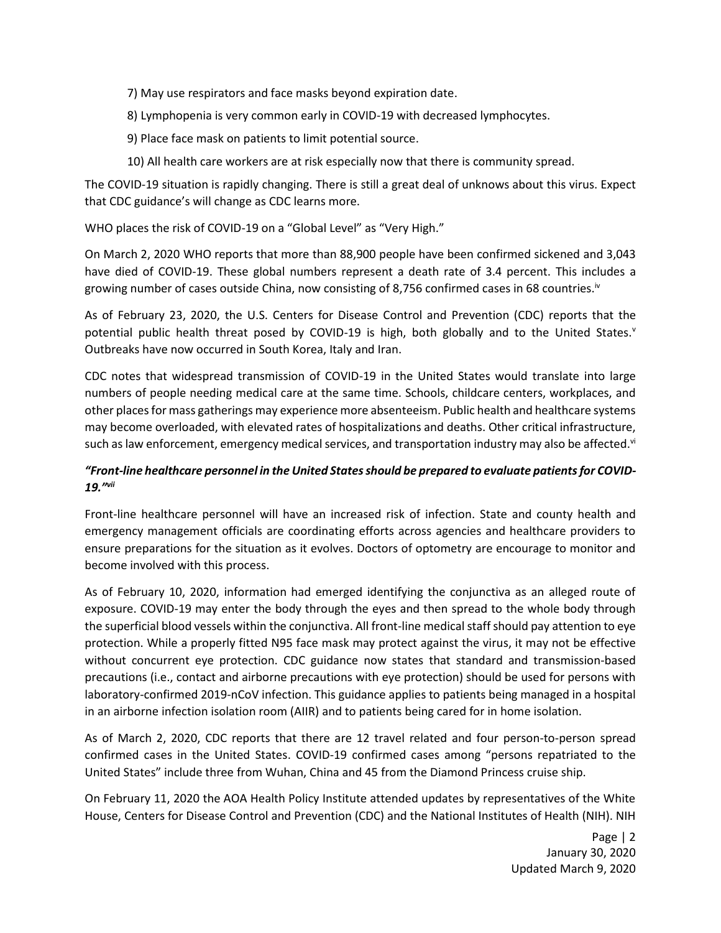7) May use respirators and face masks beyond expiration date.

8) Lymphopenia is very common early in COVID-19 with decreased lymphocytes.

- 9) Place face mask on patients to limit potential source.
- 10) All health care workers are at risk especially now that there is community spread.

The COVID-19 situation is rapidly changing. There is still a great deal of unknows about this virus. Expect that CDC guidance's will change as CDC learns more.

WHO places the risk of COVID-19 on a "Global Level" as "Very High."

On March 2, 2020 WHO reports that more than 88,900 people have been confirmed sickened and 3,043 have died of COVID-19. These global numbers represent a death rate of 3.4 percent. This includes a growing number of cases outside China, now consisting of 8,756 confirmed cases in 68 countries.<sup>iv</sup>

As of February 23, 2020, the U.S. Centers for Disease Control and Prevention (CDC) reports that the potential public health threat posed by COVID-19 is high, both globally and to the United States. $y$ Outbreaks have now occurred in South Korea, Italy and Iran.

CDC notes that widespread transmission of COVID-19 in the United States would translate into large numbers of people needing medical care at the same time. Schools, childcare centers, workplaces, and other places for mass gatherings may experience more absenteeism. Public health and healthcare systems may become overloaded, with elevated rates of hospitalizations and deaths. Other critical infrastructure, such as law enforcement, emergency medical services, and transportation industry may also be affected.<sup>vi</sup>

## *"Front-line healthcare personnel in the United States should be prepared to evaluate patients for COVID-19." vii*

Front-line healthcare personnel will have an increased risk of infection. State and county health and emergency management officials are coordinating efforts across agencies and healthcare providers to ensure preparations for the situation as it evolves. Doctors of optometry are encourage to monitor and become involved with this process.

As of February 10, 2020, information had emerged identifying the conjunctiva as an alleged route of exposure. COVID-19 may enter the body through the eyes and then spread to the whole body through the superficial blood vessels within the conjunctiva. All front-line medical staff should pay attention to eye protection. While a properly fitted N95 face mask may protect against the virus, it may not be effective without concurrent eye protection. CDC guidance now states that standard and transmission-based precautions (i.e., contact and airborne precautions with eye protection) should be used for persons with laboratory-confirmed 2019-nCoV infection. This guidance applies to patients being managed in a hospital in an airborne infection isolation room (AIIR) and to patients being cared for in home isolation.

As of March 2, 2020, CDC reports that there are 12 travel related and four person-to-person spread confirmed cases in the United States. COVID-19 confirmed cases among "persons repatriated to the United States" include three from Wuhan, China and 45 from the Diamond Princess cruise ship.

On February 11, 2020 the AOA Health Policy Institute attended updates by representatives of the White House, Centers for Disease Control and Prevention (CDC) and the National Institutes of Health (NIH). NIH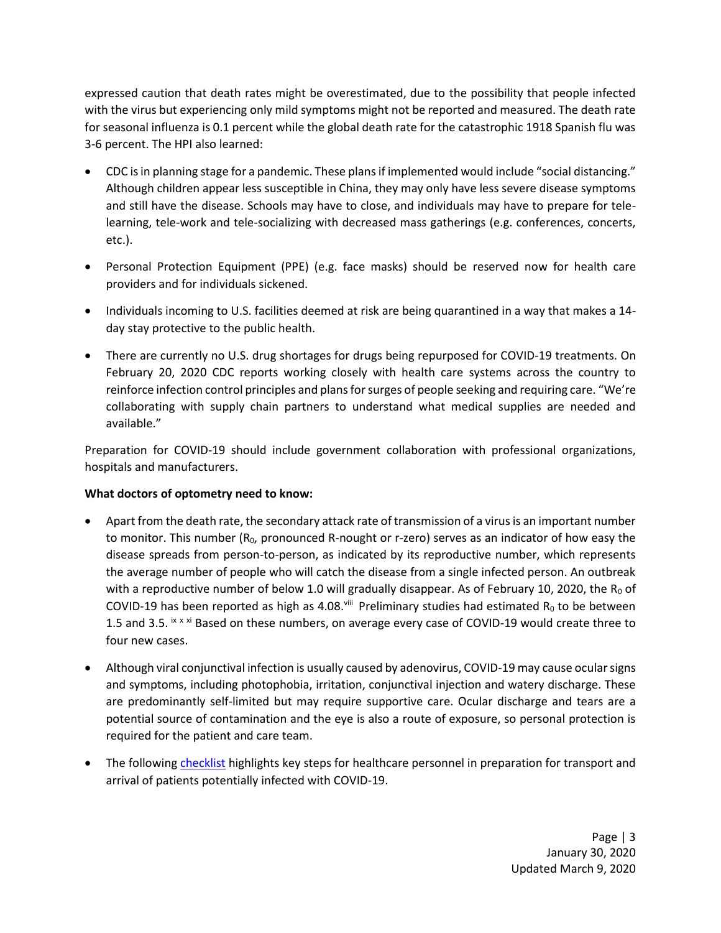expressed caution that death rates might be overestimated, due to the possibility that people infected with the virus but experiencing only mild symptoms might not be reported and measured. The death rate for seasonal influenza is 0.1 percent while the global death rate for the catastrophic 1918 Spanish flu was 3-6 percent. The HPI also learned:

- CDC is in planning stage for a pandemic. These plans if implemented would include "social distancing." Although children appear less susceptible in China, they may only have less severe disease symptoms and still have the disease. Schools may have to close, and individuals may have to prepare for telelearning, tele-work and tele-socializing with decreased mass gatherings (e.g. conferences, concerts, etc.).
- Personal Protection Equipment (PPE) (e.g. face masks) should be reserved now for health care providers and for individuals sickened.
- Individuals incoming to U.S. facilities deemed at risk are being quarantined in a way that makes a 14 day stay protective to the public health.
- There are currently no U.S. drug shortages for drugs being repurposed for COVID-19 treatments. On February 20, 2020 CDC reports working closely with health care systems across the country to reinforce infection control principles and plans for surges of people seeking and requiring care. "We're collaborating with supply chain partners to understand what medical supplies are needed and available."

Preparation for COVID-19 should include government collaboration with professional organizations, hospitals and manufacturers.

## **What doctors of optometry need to know:**

- Apart from the death rate, the secondary attack rate of transmission of a virus is an important number to monitor. This number  $(R_0,$  pronounced R-nought or r-zero) serves as an indicator of how easy the disease spreads from person-to-person, as indicated by its reproductive number, which represents the average number of people who will catch the disease from a single infected person. An outbreak with a reproductive number of below 1.0 will gradually disappear. As of February 10, 2020, the R<sub>0</sub> of COVID-19 has been reported as high as 4.08. Will Preliminary studies had estimated R<sub>0</sub> to be between 1.5 and 3.5. ix x xi Based on these numbers, on average every case of COVID-19 would create three to four new cases.
- Although viral conjunctival infection is usually caused by adenovirus, COVID-19 may cause ocular signs and symptoms, including photophobia, irritation, conjunctival injection and watery discharge. These are predominantly self-limited but may require supportive care. Ocular discharge and tears are a potential source of contamination and the eye is also a route of exposure, so personal protection is required for the patient and care team.
- The following [checklist](https://www.cdc.gov/coronavirus/2019-ncov/downloads/hcp-preparedness-checklist.pdf) highlights key steps for healthcare personnel in preparation for transport and arrival of patients potentially infected with COVID-19.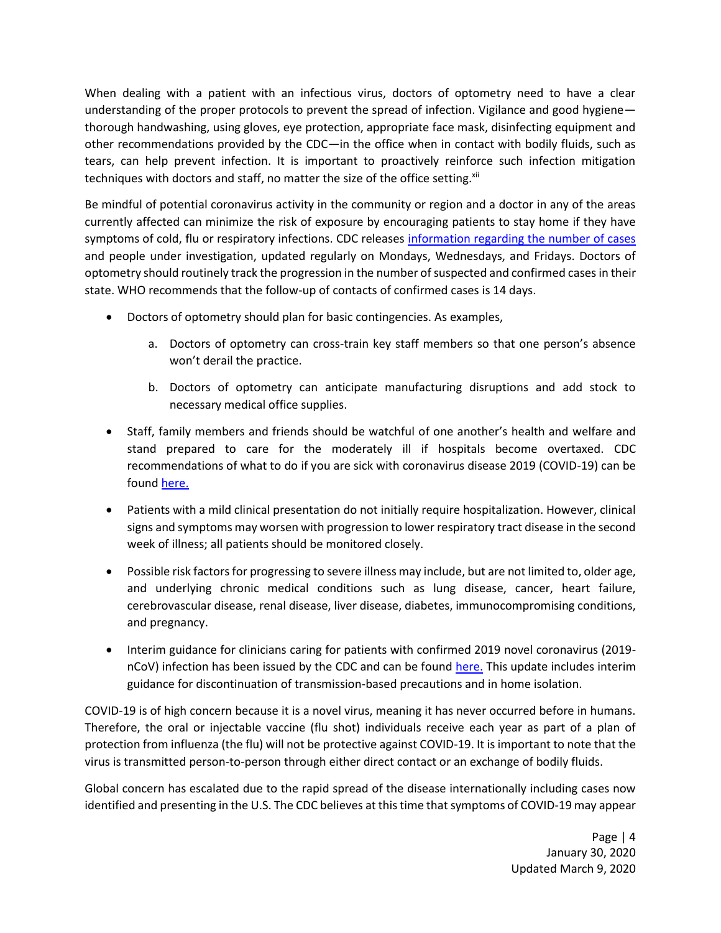When dealing with a patient with an infectious virus, doctors of optometry need to have a clear understanding of the proper protocols to prevent the spread of infection. Vigilance and good hygiene thorough handwashing, using gloves, eye protection, appropriate face mask, disinfecting equipment and other recommendations provided by the CDC—in the office when in contact with bodily fluids, such as tears, can help prevent infection. It is important to proactively reinforce such infection mitigation techniques with doctors and staff, no matter the size of the office setting.<sup>xii</sup>

Be mindful of potential coronavirus activity in the community or region and a doctor in any of the areas currently affected can minimize the risk of exposure by encouraging patients to stay home if they have symptoms of cold, flu or respiratory infections. CDC releases [information regarding the number of cases](https://www.cdc.gov/coronavirus/2019-ncov/cases-in-us.html) and people under investigation, updated regularly on Mondays, Wednesdays, and Fridays. Doctors of optometry should routinely track the progression in the number of suspected and confirmed cases in their state. WHO recommends that the follow-up of contacts of confirmed cases is 14 days.

- Doctors of optometry should plan for basic contingencies. As examples,
	- a. Doctors of optometry can cross-train key staff members so that one person's absence won't derail the practice.
	- b. Doctors of optometry can anticipate manufacturing disruptions and add stock to necessary medical office supplies.
- Staff, family members and friends should be watchful of one another's health and welfare and stand prepared to care for the moderately ill if hospitals become overtaxed. CDC recommendations of what to do if you are sick with coronavirus disease 2019 (COVID-19) can be found [here.](https://www.cdc.gov/coronavirus/2019-ncov/downloads/sick-with-2019-nCoV-fact-sheet.pdf)
- Patients with a mild clinical presentation do not initially require hospitalization. However, clinical signs and symptoms may worsen with progression to lower respiratory tract disease in the second week of illness; all patients should be monitored closely.
- Possible risk factors for progressing to severe illness may include, but are not limited to, older age, and underlying chronic medical conditions such as lung disease, cancer, heart failure, cerebrovascular disease, renal disease, liver disease, diabetes, immunocompromising conditions, and pregnancy.
- Interim guidance for clinicians caring for patients with confirmed 2019 novel coronavirus (2019nCoV) infection has been issued by the CDC and can be found [here.](https://www.cdc.gov/coronavirus/2019-ncov/hcp/clinical-guidance-management-patients.html) This update includes interim guidance for discontinuation of transmission-based precautions and in home isolation.

COVID-19 is of high concern because it is a novel virus, meaning it has never occurred before in humans. Therefore, the oral or injectable vaccine (flu shot) individuals receive each year as part of a plan of protection from influenza (the flu) will not be protective against COVID-19. It is important to note that the virus is transmitted person-to-person through either direct contact or an exchange of bodily fluids.

Global concern has escalated due to the rapid spread of the disease internationally including cases now identified and presenting in the U.S. The CDC believes at this time that symptoms of COVID-19 may appear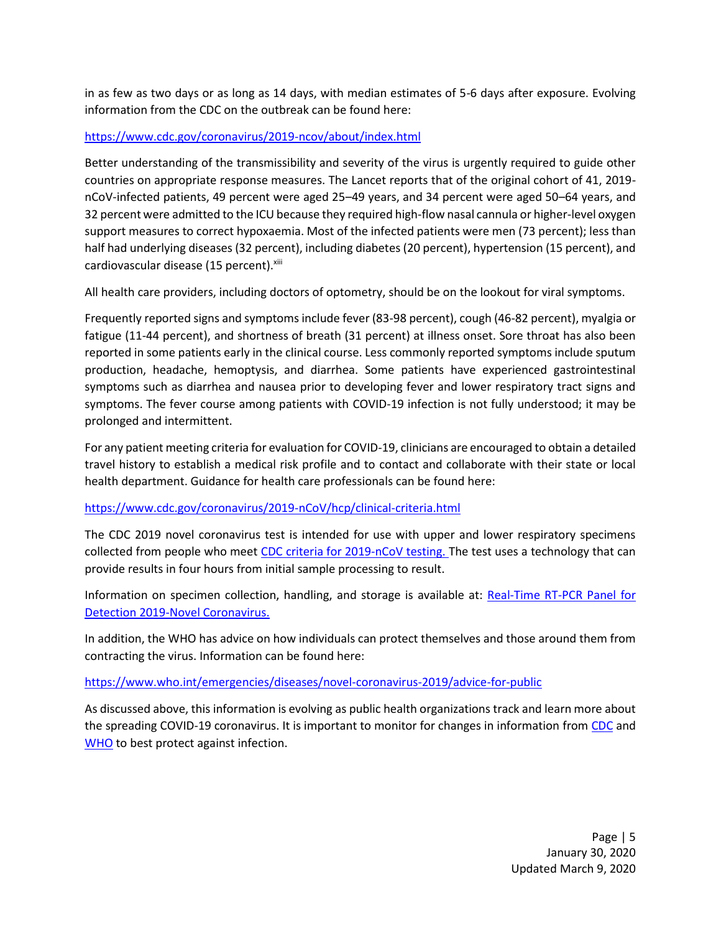in as few as two days or as long as 14 days, with median estimates of 5-6 days after exposure. Evolving information from the CDC on the outbreak can be found here:

## <https://www.cdc.gov/coronavirus/2019-ncov/about/index.html>

Better understanding of the transmissibility and severity of the virus is urgently required to guide other countries on appropriate response measures. The Lancet reports that of the original cohort of 41, 2019 nCoV-infected patients, 49 percent were aged 25–49 years, and 34 percent were aged 50–64 years, and 32 percent were admitted to the ICU because they required high-flow nasal cannula or higher-level oxygen support measures to correct hypoxaemia. Most of the infected patients were men (73 percent); less than half had underlying diseases (32 percent), including diabetes (20 percent), hypertension (15 percent), and cardiovascular disease (15 percent).<sup>xiii</sup>

All health care providers, including doctors of optometry, should be on the lookout for viral symptoms.

Frequently reported signs and symptoms include fever (83-98 percent), cough (46-82 percent), myalgia or fatigue (11-44 percent), and shortness of breath (31 percent) at illness onset. Sore throat has also been reported in some patients early in the clinical course. Less commonly reported symptoms include sputum production, headache, hemoptysis, and diarrhea. Some patients have experienced gastrointestinal symptoms such as diarrhea and nausea prior to developing fever and lower respiratory tract signs and symptoms. The fever course among patients with COVID-19 infection is not fully understood; it may be prolonged and intermittent.

For any patient meeting criteria for evaluation for COVID-19, clinicians are encouraged to obtain a detailed travel history to establish a medical risk profile and to contact and collaborate with their state or local health department. Guidance for health care professionals can be found here:

### <https://www.cdc.gov/coronavirus/2019-nCoV/hcp/clinical-criteria.html>

The CDC 2019 novel coronavirus test is intended for use with upper and lower respiratory specimens collected from people who meet [CDC criteria for 2019-nCoV testing.](https://t.emailupdates.cdc.gov/r/?id=h8fa9804,488f0f2,4894a2d) The test uses a technology that can provide results in four hours from initial sample processing to result.

Information on specimen collection, handling, and storage is available at: Real-Time RT-PCR Panel for [Detection 2019-Novel Coronavirus.](https://www.cdc.gov/coronavirus/2019-ncov/lab/rt-pcr-detection-instructions.html)

In addition, the WHO has advice on how individuals can protect themselves and those around them from contracting the virus. Information can be found here:

### <https://www.who.int/emergencies/diseases/novel-coronavirus-2019/advice-for-public>

As discussed above, this information is evolving as public health organizations track and learn more about the spreading COVID-19 coronavirus. It is important to monitor for changes in information from [CDC](https://www.cdc.gov/coronavirus/2019-ncov/index.html) and [WHO](https://www.who.int/health-topics/coronavirus) to best protect against infection.